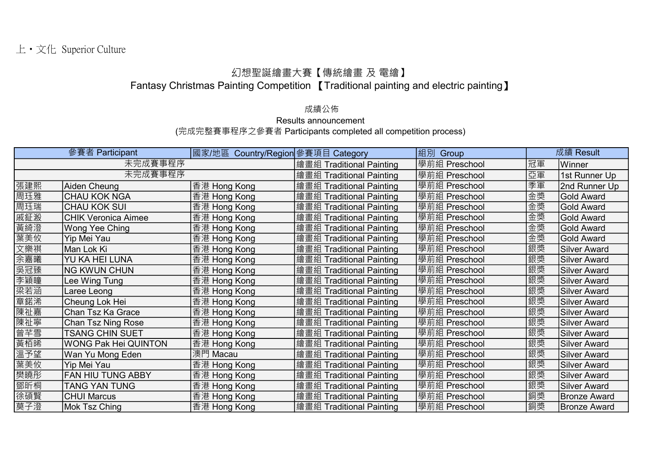## 幻想聖誕繪畫大賽【傳統繪畫 及 電繪】

Fantasy Christmas Painting Competition 【Traditional painting and electric painting】

## 成績公佈

Results announcement

(完成完整賽事程序之參賽者 Participants completed all competition process)

|     | 參賽者 Participant             | 國家/地區 Country/Region 參賽項目 Category |                          | 組別<br>Group   |    | 成績 Result           |
|-----|-----------------------------|------------------------------------|--------------------------|---------------|----|---------------------|
|     | 未完成賽事程序                     |                                    | 繪畫組 Traditional Painting | 學前組 Preschool | 冠軍 | Winner              |
|     | 未完成賽事程序                     |                                    | 繪畫組 Traditional Painting | 學前組 Preschool | 亞軍 | 1st Runner Up       |
| 張建熙 | Aiden Cheung                | 香港 Hong Kong                       | 繪畫組 Traditional Painting | 學前組 Preschool | 季軍 | 2nd Runner Up       |
| 周珏雅 | <b>CHAU KOK NGA</b>         | 香港 Hong Kong                       | 繪畫組 Traditional Painting | 學前組 Preschool | 金獎 | <b>Gold Award</b>   |
| 周珏瑞 | <b>CHAU KOK SUI</b>         | 香港 Hong Kong                       | 繪畫組 Traditional Painting | 學前組 Preschool | 金獎 | <b>Gold Award</b>   |
| 戚鉦溵 | <b>CHIK Veronica Aimee</b>  | 香港 Hong Kong                       | 繪畫組 Traditional Painting | 學前組 Preschool | 金獎 | <b>Gold Award</b>   |
| 黃綺澄 | <b>Wong Yee Ching</b>       | 香港 Hong Kong                       | 繪畫組 Traditional Painting | 學前組 Preschool | 金獎 | <b>Gold Award</b>   |
| 葉美攸 | Yip Mei Yau                 | 香港 Hong Kong                       | 繪畫組 Traditional Painting | 學前組 Preschool | 金獎 | <b>Gold Award</b>   |
| 文樂祺 | Man Lok Ki                  | 香港 Hong Kong                       | 繪畫組 Traditional Painting | 學前組 Preschool | 銀獎 | <b>Silver Award</b> |
| 余嘉曦 | YU KA HEI LUNA              | 香港 Hong Kong                       | 繪畫組 Traditional Painting | 學前組 Preschool | 銀獎 | <b>Silver Award</b> |
| 吳冠臻 | <b>NG KWUN CHUN</b>         | 香港 Hong Kong                       | 繪畫組 Traditional Painting | 學前組 Preschool | 銀獎 | <b>Silver Award</b> |
| 李穎瞳 | Lee Wing Tung               | 香港 Hong Kong                       | 繪畫組 Traditional Painting | 學前組 Preschool | 銀獎 | <b>Silver Award</b> |
| 梁若涵 | Laree Leong                 | 香港 Hong Kong                       | 繪畫組 Traditional Painting | 學前組 Preschool | 銀獎 | <b>Silver Award</b> |
| 章鍩浠 | Cheung Lok Hei              | 香港 Hong Kong                       | 繪畫組 Traditional Painting | 學前組 Preschool | 銀獎 | <b>Silver Award</b> |
| 陳祉嘉 | Chan Tsz Ka Grace           | 香港 Hong Kong                       | 繪畫組 Traditional Painting | 學前組 Preschool | 銀獎 | <b>Silver Award</b> |
| 陳祉寧 | Chan Tsz Ning Rose          | 香港 Hong Kong                       | 繪畫組 Traditional Painting | 學前組 Preschool | 銀獎 | <b>Silver Award</b> |
| 曾芊雪 | <b>TSANG CHIN SUET</b>      | 香港 Hong Kong                       | 繪畫組 Traditional Painting | 學前組 Preschool | 銀獎 | <b>Silver Award</b> |
| 黃栢晞 | <b>WONG Pak Hei QUINTON</b> | 香港 Hong Kong                       | 繪畫組 Traditional Painting | 學前組 Preschool | 銀獎 | <b>Silver Award</b> |
| 溫予望 | Wan Yu Mong Eden            | 澳門 Macau                           | 繪畫組 Traditional Painting | 學前組 Preschool | 銀獎 | <b>Silver Award</b> |
| 葉美攸 | Yip Mei Yau                 | 香港 Hong Kong                       | 繪畫組 Traditional Painting | 學前組 Preschool | 銀獎 | <b>Silver Award</b> |
| 樊曉彤 | <b>FAN HIU TUNG ABBY</b>    | 香港 Hong Kong                       | 繪畫組 Traditional Painting | 學前組 Preschool | 銀獎 | <b>Silver Award</b> |
| 鄧昕桐 | <b>TANG YAN TUNG</b>        | 香港 Hong Kong                       | 繪畫組 Traditional Painting | 學前組 Preschool | 銀獎 | <b>Silver Award</b> |
| 徐碩賢 | <b>CHUI Marcus</b>          | 香港 Hong Kong                       | 繪畫組 Traditional Painting | 學前組 Preschool | 銅獎 | <b>Bronze Award</b> |
| 莫子澄 | Mok Tsz Ching               | 香港 Hong Kong                       | 繪畫組 Traditional Painting | 學前組 Preschool | 銅獎 | <b>Bronze Award</b> |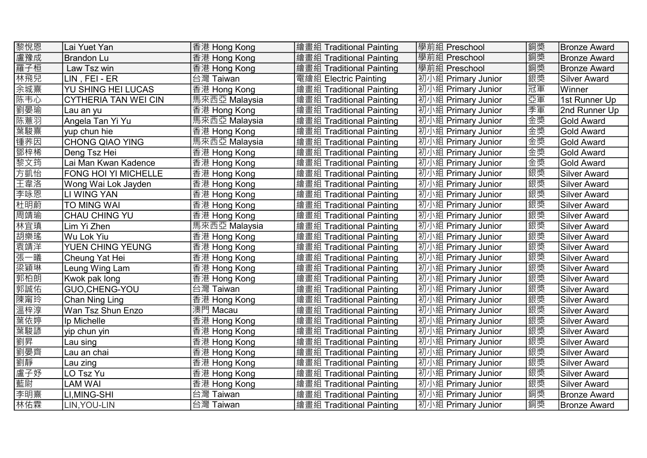| 黎悅恩 | Lai Yuet Yan                | 香港 Hong Kong  | 繪畫組 Traditional Painting | 學前組 Preschool      | 銅獎 | <b>Bronze Award</b> |
|-----|-----------------------------|---------------|--------------------------|--------------------|----|---------------------|
| 盧豫成 | <b>Brandon Lu</b>           | 香港 Hong Kong  | 繪畫組 Traditional Painting | 學前組 Preschool      | 銅獎 | <b>Bronze Award</b> |
| 羅子桓 | Law Tsz win                 | 香港 Hong Kong  | 繪畫組 Traditional Painting | 學前組 Preschool      | 銅獎 | <b>Bronze Award</b> |
| 林飛兒 | LIN, FEI - ER               | 台灣 Taiwan     | 電繪組 Electric Painting    | 初小組 Primary Junior | 銀獎 | <b>Silver Award</b> |
| 余城熹 | YU SHING HEI LUCAS          | 香港 Hong Kong  | 繪畫組 Traditional Painting | 初小組 Primary Junior | 冠軍 | Winner              |
| 陈韦心 | <b>CYTHERIA TAN WEI CIN</b> | 馬來西亞 Malaysia | 繪畫組 Traditional Painting | 初小組 Primary Junior | 亞軍 | 1st Runner Up       |
| 劉晏瑜 | Lau an yu                   | 香港 Hong Kong  | 繪畫組 Traditional Painting | 初小組 Primary Junior | 季軍 | 2nd Runner Up       |
| 陈薏羽 | Angela Tan Yi Yu            | 馬來西亞 Malaysia | 繪畫組 Traditional Painting | 初小組 Primary Junior | 金獎 | <b>Gold Award</b>   |
| 葉駿熹 | vup chun hie                | 香港 Hong Kong  | 繪畫組 Traditional Painting | 初小組 Primary Junior | 金獎 | <b>Gold Award</b>   |
| 锤荞因 | <b>CHONG QIAO YING</b>      | 馬來西亞 Malaysia | 繪畫組 Traditional Painting | 初小組 Primary Junior | 金獎 | <b>Gold Award</b>   |
| 鄧梓稀 | Deng Tsz Hei                | 香港 Hong Kong  | 繪畫組 Traditional Painting | 初小組 Primary Junior | 金獎 | <b>Gold Award</b>   |
| 黎文筠 | Lai Man Kwan Kadence        | 香港 Hong Kong  | 繪畫組 Traditional Painting | 初小組 Primary Junior | 金獎 | <b>Gold Award</b>   |
| 方凱怡 | <b>FONG HOI YI MICHELLE</b> | 香港 Hong Kong  | 繪畫組 Traditional Painting | 初小組 Primary Junior | 銀獎 | <b>Silver Award</b> |
| 王韋洛 | Wong Wai Lok Jayden         | 香港 Hong Kong  | 繪畫組 Traditional Painting | 初小組 Primary Junior | 銀獎 | <b>Silver Award</b> |
| 李咏恩 | LI WING YAN                 | 香港 Hong Kong  | 繪畫組 Traditional Painting | 初小組 Primary Junior | 銀獎 | <b>Silver Award</b> |
| 杜明蔚 | TO MING WAI                 | 香港 Hong Kong  | 繪畫組 Traditional Painting | 初小組 Primary Junior | 銀獎 | <b>Silver Award</b> |
| 周靖瑜 | CHAU CHING YU               | 香港 Hong Kong  | 繪畫組 Traditional Painting | 初小組 Primary Junior | 銀獎 | <b>Silver Award</b> |
| 林宜瑱 | Lim Yi Zhen                 | 馬來西亞 Malaysia | 繪畫組 Traditional Painting | 初小組 Primary Junior | 銀獎 | <b>Silver Award</b> |
| 胡樂瑤 | Wu Lok Yiu                  | 香港 Hong Kong  | 繪畫組 Traditional Painting | 初小組 Primary Junior | 銀獎 | <b>Silver Award</b> |
| 袁靖洋 | YUEN CHING YEUNG            | 香港 Hong Kong  | 繪畫組 Traditional Painting | 初小組 Primary Junior | 銀獎 | <b>Silver Award</b> |
| 張一曦 | Cheung Yat Hei              | 香港 Hong Kong  | 繪畫組 Traditional Painting | 初小組 Primary Junior | 銀獎 | <b>Silver Award</b> |
| 梁穎琳 | Leung Wing Lam              | 香港 Hong Kong  | 繪畫組 Traditional Painting | 初小組 Primary Junior | 銀獎 | <b>Silver Award</b> |
| 郭柏朗 | Kwok pak long               | 香港 Hong Kong  | 繪畫組 Traditional Painting | 初小組 Primary Junior | 銀獎 | <b>Silver Award</b> |
| 郭誠佑 | GUO, CHENG-YOU              | 台灣 Taiwan     | 繪畫組 Traditional Painting | 初小組 Primary Junior | 銀獎 | <b>Silver Award</b> |
| 陳甯玲 | Chan Ning Ling              | 香港 Hong Kong  | 繪畫組 Traditional Painting | 初小組 Primary Junior | 銀獎 | <b>Silver Award</b> |
| 溫梓淳 | Wan Tsz Shun Enzo           | 澳門 Macau      | 繪畫組 Traditional Painting | 初小組 Primary Junior | 銀獎 | <b>Silver Award</b> |
| 葉依婷 | Ip Michelle                 | 香港 Hong Kong  | 繪畫組 Traditional Painting | 初小組 Primary Junior | 銀獎 | <b>Silver Award</b> |
| 葉駿諺 | yip chun yin                | 香港 Hong Kong  | 繪畫組 Traditional Painting | 初小組 Primary Junior | 銀獎 | <b>Silver Award</b> |
| 劉昇  | Lau sing                    | 香港 Hong Kong  | 繪畫組 Traditional Painting | 初小組 Primary Junior | 銀獎 | <b>Silver Award</b> |
| 劉晏齊 | Lau an chai                 | 香港 Hong Kong  | 繪畫組 Traditional Painting | 初小組 Primary Junior | 銀獎 | <b>Silver Award</b> |
| 劉靜  | Lau zing                    | 香港 Hong Kong  | 繪畫組 Traditional Painting | 初小組 Primary Junior | 銀獎 | <b>Silver Award</b> |
| 盧子妤 | LO Tsz Yu                   | 香港 Hong Kong  | 繪畫組 Traditional Painting | 初小組 Primary Junior | 銀獎 | <b>Silver Award</b> |
| 藍尉  | <b>LAM WAI</b>              | 香港 Hong Kong  | 繪畫組 Traditional Painting | 初小組 Primary Junior | 銀獎 | <b>Silver Award</b> |
| 李明熹 | LI, MING-SHI                | 台灣 Taiwan     | 繪畫組 Traditional Painting | 初小組 Primary Junior | 銅獎 | <b>Bronze Award</b> |
| 林佑霖 | LIN, YOU-LIN                | 台灣 Taiwan     | 繪畫組 Traditional Painting | 初小組 Primary Junior | 銅獎 | <b>Bronze Award</b> |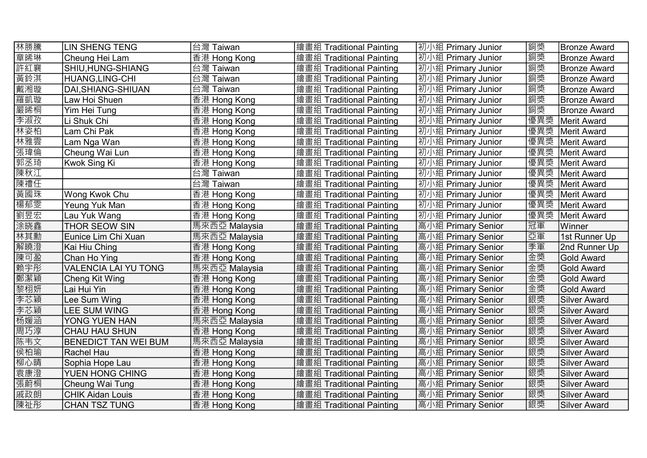| 林勝騰 | <b>LIN SHENG TENG</b>       | 台灣 Taiwan     | 繪畫組 Traditional Painting | 初小組 Primary Junior | 銅獎  | <b>Bronze Award</b> |
|-----|-----------------------------|---------------|--------------------------|--------------------|-----|---------------------|
| 章晞琳 | Cheung Hei Lam              | 香港 Hong Kong  | 繪畫組 Traditional Painting | 初小組 Primary Junior | 銅獎  | <b>Bronze Award</b> |
| 許紅襄 | SHIU,HUNG-SHIANG            | 台灣 Taiwan     | 繪畫組 Traditional Painting | 初小組 Primary Junior | 銅獎  | <b>Bronze Award</b> |
| 黃鈴淇 | HUANG,LING-CHI              | 台灣 Taiwan     | 繪畫組 Traditional Painting | 初小組 Primary Junior | 銅獎  | <b>Bronze Award</b> |
| 戴湘璇 | DAI, SHIANG-SHIUAN          | 台灣 Taiwan     | 繪畫組 Traditional Painting | 初小組 Primary Junior | 銅獎  | <b>Bronze Award</b> |
| 羅凱璇 | Law Hoi Shuen               | 香港 Hong Kong  | 繪畫組 Traditional Painting | 初小組 Primary Junior | 銅獎  | <b>Bronze Award</b> |
| 嚴晞桐 | Yim Hei Tung                | 香港 Hong Kong  | 繪畫組 Traditional Painting | 初小組 Primary Junior | 銅獎  | Bronze Award        |
| 李淑孜 | Li Shuk Chi                 | 香港 Hong Kong  | 繪畫組 Traditional Painting | 初小組 Primary Junior | 優異獎 | Merit Award         |
| 林姿柏 | Lam Chi Pak                 | 香港 Hong Kong  | 繪畫組 Traditional Painting | 初小組 Primary Junior | 優異獎 | Merit Award         |
| 林雅雲 | Lam Nga Wan                 | 香港 Hong Kong  | 繪畫組 Traditional Painting | 初小組 Primary Junior | 優異獎 | Merit Award         |
| 張瑋倫 | Cheung Wai Lun              | 香港 Hong Kong  | 繪畫組 Traditional Painting | 初小組 Primary Junior | 優異獎 | Merit Award         |
| 郭丞琦 | Kwok Sing Ki                | 香港 Hong Kong  | 繪畫組 Traditional Painting | 初小組 Primary Junior | 優異獎 | Merit Award         |
| 陳秋江 |                             | 台灣 Taiwan     | 繪畫組 Traditional Painting | 初小組 Primary Junior | 優異獎 | Merit Award         |
| 陳禮任 |                             | 台灣 Taiwan     | 繪畫組 Traditional Painting | 初小組 Primary Junior | 優異獎 | Merit Award         |
| 黃國珠 | Wong Kwok Chu               | 香港 Hong Kong  | 繪畫組 Traditional Painting | 初小組 Primary Junior | 優異獎 | Merit Award         |
| 楊郁雯 | Yeung Yuk Man               | 香港 Hong Kong  | 繪畫組 Traditional Painting | 初小組 Primary Junior | 優異獎 | Merit Award         |
| 劉昱宏 | Lau Yuk Wang                | 香港 Hong Kong  | 繪畫組 Traditional Painting | 初小組 Primary Junior | 優異獎 | Merit Award         |
| 涂晓鑫 | <b>THOR SEOW SIN</b>        | 馬來西亞 Malaysia | 繪畫組 Traditional Painting | 高小組 Primary Senior | 冠軍  | Winner              |
| 林其勳 | Eunice Lim Chi Xuan         | 馬來西亞 Malaysia | 繪畫組 Traditional Painting | 高小組 Primary Senior | 亞軍  | 1st Runner Up       |
| 解曉澄 | Kai Hiu Ching               | 香港 Hong Kong  | 繪畫組 Traditional Painting | 高小組 Primary Senior | 季軍  | 2nd Runner Up       |
| 陳可盈 | Chan Ho Ying                | 香港 Hong Kong  | 繪畫組 Traditional Painting | 高小組 Primary Senior | 金獎  | <b>Gold Award</b>   |
| 赖宇彤 | VALENCIA LAI YU TONG        | 馬來西亞 Malaysia | 繪畫組 Traditional Painting | 高小組 Primary Senior | 金獎  | <b>Gold Award</b>   |
| 鄭潔穎 | Cheng Kit Wing              | 香港 Hong Kong  | 繪畫組 Traditional Painting | 高小組 Primary Senior | 金獎  | <b>Gold Award</b>   |
| 黎栩妍 | Lai Hui Yin                 | 香港 Hong Kong  | 繪畫組 Traditional Painting | 高小組 Primary Senior | 金獎  | <b>Gold Award</b>   |
| 李芯穎 | Lee Sum Wing                | 香港 Hong Kong  | 繪畫組 Traditional Painting | 高小組 Primary Senior | 銀獎  | <b>Silver Award</b> |
| 李芯穎 | LEE SUM WING                | 香港 Hong Kong  | 繪畫組 Traditional Painting | 高小組 Primary Senior | 銀獎  | <b>Silver Award</b> |
| 杨媛涵 | <b>YONG YUEN HAN</b>        | 馬來西亞 Malaysia | 繪畫組 Traditional Painting | 高小組 Primary Senior | 銀獎  | <b>Silver Award</b> |
| 周巧淳 | <b>CHAU HAU SHUN</b>        | 香港 Hong Kong  | 繪畫組 Traditional Painting | 高小組 Primary Senior | 銀獎  | <b>Silver Award</b> |
| 陈韦文 | <b>BENEDICT TAN WEI BUM</b> | 馬來西亞 Malaysia | 繪畫組 Traditional Painting | 高小組 Primary Senior | 銀獎  | <b>Silver Award</b> |
| 侯柏瑜 | Rachel Hau                  | 香港 Hong Kong  | 繪畫組 Traditional Painting | 高小組 Primary Senior | 銀獎  | <b>Silver Award</b> |
| 柳心晴 | Sophia Hope Lau             | 香港 Hong Kong  | 繪畫組 Traditional Painting | 高小組 Primary Senior | 銀獎  | <b>Silver Award</b> |
| 袁康澄 | <b>YUEN HONG CHING</b>      | 香港 Hong Kong  | 繪畫組 Traditional Painting | 高小組 Primary Senior | 銀獎  | <b>Silver Award</b> |
| 張蔚桐 | Cheung Wai Tung             | 香港 Hong Kong  | 繪畫組 Traditional Painting | 高小組 Primary Senior | 銀獎  | Silver Award        |
| 戚政朗 | <b>CHIK Aidan Louis</b>     | 香港 Hong Kong  | 繪畫組 Traditional Painting | 高小組 Primary Senior | 銀獎  | <b>Silver Award</b> |
| 陳祉彤 | <b>CHAN TSZ TUNG</b>        | 香港 Hong Kong  | 繪畫組 Traditional Painting | 高小組 Primary Senior | 銀獎  | Silver Award        |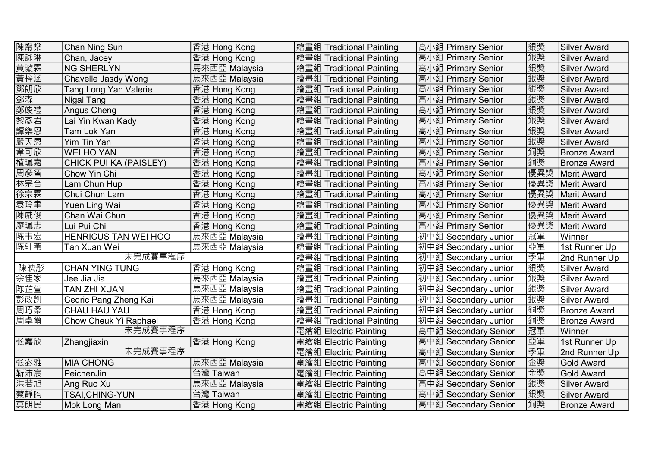| 陳甯燊     | Chan Ning Sun               | 香港 Hong Kong  | 繪畫組 Traditional Painting | 高小組 Primary Senior   | 銀獎  | Silver Award        |
|---------|-----------------------------|---------------|--------------------------|----------------------|-----|---------------------|
| 陳詠琳     | Chan, Jacey                 | 香港 Hong Kong  | 繪畫組 Traditional Painting | 高小組 Primary Senior   | 銀獎  | Silver Award        |
| 黄璇霖     | <b>NG SHERLYN</b>           | 馬來西亞 Malaysia | 繪畫組 Traditional Painting | 高小組 Primary Senior   | 銀獎  | Silver Award        |
| 黃梓涵     | Chavelle Jasdy Wong         | 馬來西亞 Malaysia | 繪畫組 Traditional Painting | 高小組 Primary Senior   | 銀獎  | Silver Award        |
| 鄧朗欣     | Tang Long Yan Valerie       | 香港 Hong Kong  | 繪畫組 Traditional Painting | 高小組 Primary Senior   | 銀獎  | <b>Silver Award</b> |
| 鄧森      | Nigal Tang                  | 香港 Hong Kong  | 繪畫組 Traditional Painting | 高小組 Primary Senior   | 銀獎  | <b>Silver Award</b> |
| 鄭竣禮     | Angus Cheng                 | 香港 Hong Kong  | 繪畫組 Traditional Painting | 高小組 Primary Senior   | 銀獎  | <b>Silver Award</b> |
| 黎彥君     | Lai Yin Kwan Kady           | 香港 Hong Kong  | 繪畫組 Traditional Painting | 高小組 Primary Senior   | 銀獎  | <b>Silver Award</b> |
| 譚樂恩     | Tam Lok Yan                 | 香港 Hong Kong  | 繪畫組 Traditional Painting | 高小組 Primary Senior   | 銀獎  | <b>Silver Award</b> |
| 嚴天恩     | Yim Tin Yan                 | 香港 Hong Kong  | 繪畫組 Traditional Painting | 高小組 Primary Senior   | 銀獎  | <b>Silver Award</b> |
| 韋可欣     | <b>WEI HO YAN</b>           | 香港 Hong Kong  | 繪畫組 Traditional Painting | 高小組 Primary Senior   | 銅獎  | <b>Bronze Award</b> |
| 植珮嘉     | CHICK PUI KA (PAISLEY)      | 香港 Hong Kong  | 繪畫組 Traditional Painting | 高小組 Primary Senior   | 銅獎  | <b>Bronze Award</b> |
| 周彥智     | Chow Yin Chi                | 香港 Hong Kong  | 繪畫組 Traditional Painting | 高小組 Primary Senior   | 優異獎 | Merit Award         |
| 林宗合     | Lam Chun Hup                | 香港 Hong Kong  | 繪畫組 Traditional Painting | 高小組 Primary Senior   | 優異獎 | Merit Award         |
| 徐宗霖     | Chui Chun Lam               | 香港 Hong Kong  | 繪畫組 Traditional Painting | 高小組 Primary Senior   | 優異獎 | Merit Award         |
| 袁玲聿     | Yuen Ling Wai               | 香港 Hong Kong  | 繪畫組 Traditional Painting | 高小組 Primary Senior   | 優異獎 | Merit Award         |
| 陳威俊     | Chan Wai Chun               | 香港 Hong Kong  | 繪畫組 Traditional Painting | 高小組 Primary Senior   | 優異獎 | Merit Award         |
| 廖珮志     | Lui Pui Chi                 | 香港 Hong Kong  | 繪畫組 Traditional Painting | 高小組 Primary Senior   | 優異獎 | Merit Award         |
| 陈韦宏     | <b>HENRICUS TAN WEI HOO</b> | 馬來西亞 Malaysia | 繪畫組 Traditional Painting | 初中組 Secondary Junior | 冠軍  | Winner              |
| 陈轩苇     | Tan Xuan Wei                | 馬來西亞 Malaysia | 繪畫組 Traditional Painting | 初中組 Secondary Junior | 亞軍  | 1st Runner Up       |
|         | 未完成賽事程序                     |               | 繪畫組 Traditional Painting | 初中組 Secondary Junior | 季軍  | 2nd Runner Up       |
| 陳映彤     | <b>CHAN YING TUNG</b>       | 香港 Hong Kong  | 繪畫組 Traditional Painting | 初中組 Secondary Junior | 銀獎  | <b>Silver Award</b> |
| 余佳家     | Jee Jia Jia                 | 馬來西亞 Malaysia | 繪畫組 Traditional Painting | 初中組 Secondary Junior | 銀獎  | <b>Silver Award</b> |
| 陈芷萱     | <b>TAN ZHI XUAN</b>         | 馬來西亞 Malaysia | 繪畫組 Traditional Painting | 初中組 Secondary Junior | 銀獎  | <b>Silver Award</b> |
| 彭政凯     | Cedric Pang Zheng Kai       | 馬來西亞 Malaysia | 繪畫組 Traditional Painting | 初中組 Secondary Junior | 銀獎  | <b>Silver Award</b> |
| 周巧柔     | CHAU HAU YAU                | 香港 Hong Kong  | 繪畫組 Traditional Painting | 初中組 Secondary Junior | 銅獎  | Bronze Award        |
| 周卓爾     | Chow Cheuk Yi Raphael       | 香港 Hong Kong  | 繪畫組 Traditional Painting | 初中組 Secondary Junior | 銅獎  | <b>Bronze Award</b> |
|         | 未完成賽事程序                     |               | 電繪組 Electric Painting    | 高中組 Secondary Senior | 冠軍  | Winner              |
| 张嘉欣     | Zhangjiaxin                 | 香港 Hong Kong  | 電繪組 Electric Painting    | 高中組 Secondary Senior | 亞軍  | 1st Runner Up       |
| 未完成賽事程序 |                             |               | 電繪組 Electric Painting    | 高中組 Secondary Senior | 季軍  | 2nd Runner Up       |
| 张宓雅     | <b>MIA CHONG</b>            | 馬來西亞 Malaysia | 電繪組 Electric Painting    | 高中組 Secondary Senior | 金獎  | <b>Gold Award</b>   |
| 靳沛宸     | PeichenJin                  | 台灣 Taiwan     | 電繪組 Electric Painting    | 高中組 Secondary Senior | 金獎  | <b>Gold Award</b>   |
| 洪若旭     | Ang Ruo Xu                  | 馬來西亞 Malaysia | 電繪組 Electric Painting    | 高中組 Secondary Senior | 銀獎  | Silver Award        |
| 蔡靜昀     | <b>TSAI, CHING-YUN</b>      | 台灣 Taiwan     | 電繪組 Electric Painting    | 高中組 Secondary Senior | 銀獎  | <b>Silver Award</b> |
| 莫朗民     | Mok Long Man                | 香港 Hong Kong  | 電繪組 Electric Painting    | 高中組 Secondary Senior | 銅獎  | <b>Bronze Award</b> |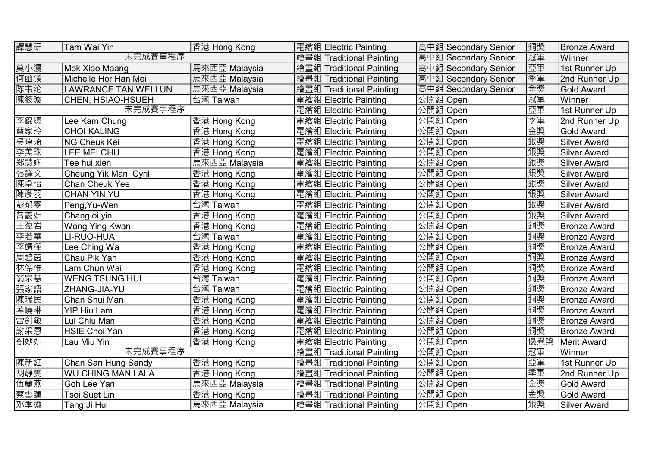| 譚慧研     | Tam Wai Yin              | 香港 Hong Kong             | 電繪組 Electric Painting    | 高中組 Secondary Senior | 銅獎     | <b>Bronze Award</b> |
|---------|--------------------------|--------------------------|--------------------------|----------------------|--------|---------------------|
| 未完成賽事程序 |                          | 繪畫組 Traditional Painting | 高中組 Secondary Senior     | 冠軍                   | Winner |                     |
| 莫小漫     | Mok Xiao Maang           | 馬來西亞 Malaysia            | 繪畫組 Traditional Painting | 高中組 Secondary Senior | 亞軍     | 1st Runner Up       |
| 何函镁     | Michelle Hor Han Mei     | 馬來西亞 Malaysia            | 繪畫組 Traditional Painting | 高中組 Secondary Senior | 季軍     | 2nd Runner Up       |
| 陈韦纶     | LAWRANCE TAN WEI LUN     | 馬來西亞 Malaysia            | 繪畫組 Traditional Painting | 高中組 Secondary Senior | 金獎     | <b>Gold Award</b>   |
| 陳筱璇     | CHEN, HSIAO-HSUEH        | 台灣 Taiwan                | 電繪組 Electric Painting    | 公開組 Open             | 冠軍     | Winner              |
|         | 未完成賽事程序                  |                          | 電繪組 Electric Painting    | 公開組 Open             | 亞軍     | 1st Runner Up       |
| 李錦聰     | Lee Kam Chung            | 香港 Hong Kong             | 電繪組 Electric Painting    | 公開組 Open             | 季軍     | 2nd Runner Up       |
| 蔡家玲     | <b>CHOI KALING</b>       | 香港 Hong Kong             | 電繪組 Electric Painting    | 公開組 Open             | 金獎     | <b>Gold Award</b>   |
| 吳琸琦     | <b>NG Cheuk Kei</b>      | 香港 Hong Kong             | 電繪組 Electric Painting    | 公開組 Open             | 銀獎     | <b>Silver Award</b> |
| 李美珠     | LEE MEI CHU              | 香港 Hong Kong             | 電繪組 Electric Painting    | 公開組 Open             | 銀獎     | <b>Silver Award</b> |
| 郑慧娴     | Tee hui xien             | 馬來西亞 Malaysia            | 電繪組 Electric Painting    | 公開組 Open             | 銀獎     | <b>Silver Award</b> |
| 張譯文     | Cheung Yik Man, Cyril    | 香港 Hong Kong             | 電繪組 Electric Painting    | 公開組 Open             | 銀獎     | <b>Silver Award</b> |
| 陳卓怡     | Chan Cheuk Yee           | 香港 Hong Kong             | 電繪組 Electric Painting    | 公開組 Open             | 銀獎     | <b>Silver Award</b> |
| 陳彥羽     | <b>CHAN YIN YU</b>       | 香港 Hong Kong             | 電繪組 Electric Painting    | 公開組 Open             | 銀獎     | <b>Silver Award</b> |
| 彭郁雯     | Peng, Yu-Wen             | 台灣 Taiwan                | 電繪組 Electric Painting    | 公開組 Open             | 銀獎     | <b>Silver Award</b> |
| 曾靄妍     | Chang oi yin             | 香港 Hong Kong             | 電繪組 Electric Painting    | 公開組 Open             | 銀獎     | <b>Silver Award</b> |
| 王盈君     | Wong Ying Kwan           | 香港 Hong Kong             | 電繪組 Electric Painting    | 公開組 Open             | 銅獎     | <b>Bronze Award</b> |
| 李若華     | LI-RUO-HUA               | 台灣 Taiwan                | 電繪組 Electric Painting    | 公開組 Open             | 銅獎     | <b>Bronze Award</b> |
| 李靖樺     | Lee Ching Wa             | 香港 Hong Kong             | 電繪組 Electric Painting    | 公開組 Open             | 銅獎     | <b>Bronze Award</b> |
| 周碧茵     | Chau Pik Yan             | 香港 Hong Kong             | 電繪組 Electric Painting    | 公開組 Open             | 銅獎     | <b>Bronze Award</b> |
| 林傑惟     | Lam Chun Wai             | 香港 Hong Kong             | 電繪組 Electric Painting    | 公開組 Open             | 銅獎     | <b>Bronze Award</b> |
| 翁宗慧     | <b>WENG TSUNG HUI</b>    | 台灣 Taiwan                | 電繪組 Electric Painting    | 公開組 Open             | 銅獎     | <b>Bronze Award</b> |
| 張家語     | ZHANG-JIA-YU             | 台灣 Taiwan                | 電繪組 Electric Painting    | 公開組 Open             | 銅獎     | <b>Bronze Award</b> |
| 陳瑞民     | Chan Shui Man            | 香港 Hong Kong             | 電繪組 Electric Painting    | 公開組 Open             | 銅獎     | <b>Bronze Award</b> |
| 葉曉琳     | <b>YIP Hiu Lam</b>       | 香港 Hong Kong             | 電繪組 Electric Painting    | 公開組 Open             | 銅獎     | <b>Bronze Award</b> |
| 雷釗敏     | Lui Chiu Man             | 香港 Hong Kong             | 電繪組 Electric Painting    | 公開組 Open             | 銅獎     | <b>Bronze Award</b> |
| 謝采恩     | HSIE Choi Yan            | 香港 Hong Kong             | 電繪組 Electric Painting    | 公開組 Open             | 銅獎     | <b>Bronze Award</b> |
| 劉妙妍     | Lau Miu Yin              | 香港 Hong Kong             | 電繪組 Electric Painting    | 公開組 Open             | 優異獎    | Merit Award         |
| 未完成賽事程序 |                          | 繪畫組 Traditional Painting | 公開組 Open                 | 冠軍                   | Winner |                     |
| 陳新紅     | Chan San Hung Sandy      | 香港 Hong Kong             | 繪畫組 Traditional Painting | 公開組 Open             | 亞軍     | 1st Runner Up       |
| 胡靜雯     | <b>WU CHING MAN LALA</b> | 香港 Hong Kong             | 繪畫組 Traditional Painting | 公開組 Open             | 季軍     | 2nd Runner Up       |
| 伍麗燕     | Goh Lee Yan              | 馬來西亞 Malaysia            | 繪畫組 Traditional Painting | 公開組 Open             | 金獎     | <b>Gold Award</b>   |
| 蔡雪蓮     | Tsoi Suet Lin            | 香港 Hong Kong             | 繪畫組 Traditional Painting | 公開組 Open             | 金獎     | Gold Award          |
| 邓季徽     | Tang Ji Hui              | 馬來西亞 Malaysia            | 繪畫組 Traditional Painting | 公開組 Open             | 銀獎     | Silver Award        |